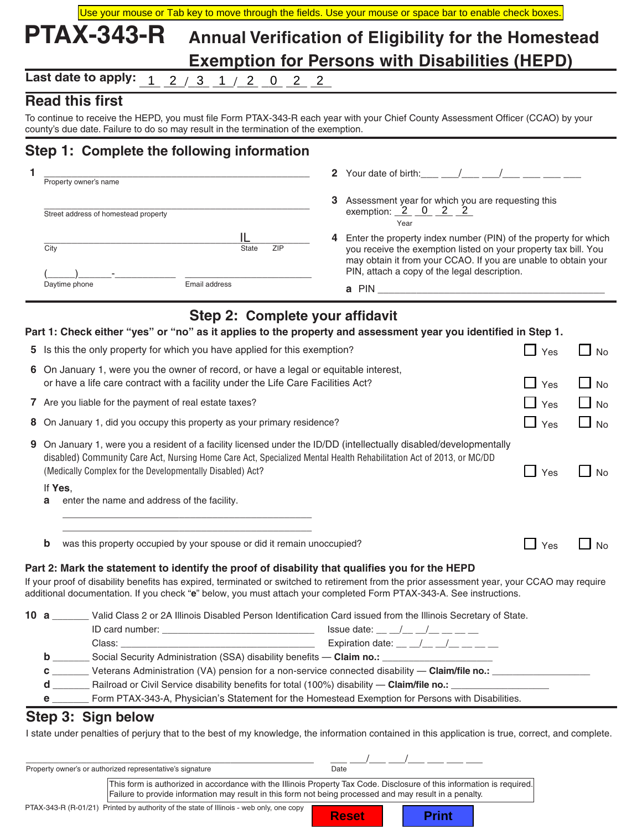|   |      | Use your mouse or Tab key to move through the fields. Use your mouse or space bar to enable check boxes.                                                                                                                                                                                                 |                   |                                                                                                                                                                                                                               |                     |             |
|---|------|----------------------------------------------------------------------------------------------------------------------------------------------------------------------------------------------------------------------------------------------------------------------------------------------------------|-------------------|-------------------------------------------------------------------------------------------------------------------------------------------------------------------------------------------------------------------------------|---------------------|-------------|
|   |      | <b>PTAX-343-R</b>                                                                                                                                                                                                                                                                                        |                   | Annual Verification of Eligibility for the Homestead                                                                                                                                                                          |                     |             |
|   |      |                                                                                                                                                                                                                                                                                                          |                   | <b>Exemption for Persons with Disabilities (HEPD)</b>                                                                                                                                                                         |                     |             |
|   |      | Last date to apply:<br><u>1 2 / 3 1 / 2 0 2 2 </u>                                                                                                                                                                                                                                                       |                   |                                                                                                                                                                                                                               |                     |             |
|   |      | <b>Read this first</b>                                                                                                                                                                                                                                                                                   |                   |                                                                                                                                                                                                                               |                     |             |
|   |      | To continue to receive the HEPD, you must file Form PTAX-343-R each year with your Chief County Assessment Officer (CCAO) by your                                                                                                                                                                        |                   |                                                                                                                                                                                                                               |                     |             |
|   |      | county's due date. Failure to do so may result in the termination of the exemption.                                                                                                                                                                                                                      |                   |                                                                                                                                                                                                                               |                     |             |
|   |      | Step 1: Complete the following information                                                                                                                                                                                                                                                               |                   |                                                                                                                                                                                                                               |                     |             |
| 1 |      | Property owner's name                                                                                                                                                                                                                                                                                    |                   | 2 Your date of birth: $\frac{1}{2}$ / $\frac{1}{2}$ /                                                                                                                                                                         |                     |             |
|   |      |                                                                                                                                                                                                                                                                                                          |                   | 3 Assessment year for which you are requesting this                                                                                                                                                                           |                     |             |
|   |      | Street address of homestead property                                                                                                                                                                                                                                                                     |                   | exemption: $2$ 0 2 2                                                                                                                                                                                                          |                     |             |
|   |      |                                                                                                                                                                                                                                                                                                          |                   | Year<br>4 Enter the property index number (PIN) of the property for which                                                                                                                                                     |                     |             |
|   | City | <b>State</b><br>ZIP                                                                                                                                                                                                                                                                                      |                   | you receive the exemption listed on your property tax bill. You                                                                                                                                                               |                     |             |
|   |      |                                                                                                                                                                                                                                                                                                          |                   | may obtain it from your CCAO. If you are unable to obtain your<br>PIN, attach a copy of the legal description.                                                                                                                |                     |             |
|   |      | Email address<br>Daytime phone                                                                                                                                                                                                                                                                           |                   | a PIN and the contract of the contract of the contract of the contract of the contract of the contract of the contract of the contract of the contract of the contract of the contract of the contract of the contract of the |                     |             |
|   |      |                                                                                                                                                                                                                                                                                                          |                   |                                                                                                                                                                                                                               |                     |             |
|   |      | Step 2: Complete your affidavit                                                                                                                                                                                                                                                                          |                   |                                                                                                                                                                                                                               |                     |             |
|   |      | Part 1: Check either "yes" or "no" as it applies to the property and assessment year you identified in Step 1.                                                                                                                                                                                           |                   |                                                                                                                                                                                                                               |                     |             |
|   |      | Is this the only property for which you have applied for this exemption?                                                                                                                                                                                                                                 |                   |                                                                                                                                                                                                                               | $\Box$ Yes          | $\Box$ No   |
|   |      | 6 On January 1, were you the owner of record, or have a legal or equitable interest,                                                                                                                                                                                                                     |                   |                                                                                                                                                                                                                               |                     |             |
|   |      | or have a life care contract with a facility under the Life Care Facilities Act?                                                                                                                                                                                                                         |                   |                                                                                                                                                                                                                               | $\mathbf{I}$<br>Yes | $\sqcup$ No |
|   |      | 7 Are you liable for the payment of real estate taxes?                                                                                                                                                                                                                                                   |                   |                                                                                                                                                                                                                               | $\Box$ Yes          | $\Box$ No   |
|   |      | On January 1, did you occupy this property as your primary residence?                                                                                                                                                                                                                                    |                   |                                                                                                                                                                                                                               | $\Box$ Yes          | $\Box$ No   |
|   |      | 9 On January 1, were you a resident of a facility licensed under the ID/DD (intellectually disabled/developmentally                                                                                                                                                                                      |                   |                                                                                                                                                                                                                               |                     |             |
|   |      | disabled) Community Care Act, Nursing Home Care Act, Specialized Mental Health Rehabilitation Act of 2013, or MC/DD                                                                                                                                                                                      |                   |                                                                                                                                                                                                                               |                     |             |
|   |      | (Medically Complex for the Developmentally Disabled) Act?                                                                                                                                                                                                                                                |                   |                                                                                                                                                                                                                               | $\Box$ Yes          | $\Box$ No   |
|   | а    | If Yes,<br>enter the name and address of the facility.                                                                                                                                                                                                                                                   |                   |                                                                                                                                                                                                                               |                     |             |
|   |      |                                                                                                                                                                                                                                                                                                          |                   |                                                                                                                                                                                                                               |                     |             |
|   |      | and the control of the control of the control of the control of the control of the control of                                                                                                                                                                                                            |                   |                                                                                                                                                                                                                               |                     |             |
|   | b    | was this property occupied by your spouse or did it remain unoccupied?                                                                                                                                                                                                                                   |                   |                                                                                                                                                                                                                               | $\Box$ Yes          | $\Box$ No   |
|   |      | Part 2: Mark the statement to identify the proof of disability that qualifies you for the HEPD                                                                                                                                                                                                           |                   |                                                                                                                                                                                                                               |                     |             |
|   |      | If your proof of disability benefits has expired, terminated or switched to retirement from the prior assessment year, your CCAO may require                                                                                                                                                             |                   |                                                                                                                                                                                                                               |                     |             |
|   |      | additional documentation. If you check "e" below, you must attach your completed Form PTAX-343-A. See instructions.                                                                                                                                                                                      |                   |                                                                                                                                                                                                                               |                     |             |
|   |      | 10 a _______ Valid Class 2 or 2A Illinois Disabled Person Identification Card issued from the Illinois Secretary of State.                                                                                                                                                                               |                   |                                                                                                                                                                                                                               |                     |             |
|   |      | Class: Class: $\frac{1}{2}$ Expiration date: $\frac{1}{2}$ $\frac{1}{2}$ $\frac{1}{2}$ $\frac{1}{2}$ $\frac{1}{2}$ $\frac{1}{2}$ $\frac{1}{2}$ $\frac{1}{2}$ $\frac{1}{2}$ $\frac{1}{2}$ $\frac{1}{2}$ $\frac{1}{2}$ $\frac{1}{2}$ $\frac{1}{2}$ $\frac{1}{2}$ $\frac{1}{2}$ $\frac{1}{2}$ $\frac{1}{2}$ |                   |                                                                                                                                                                                                                               |                     |             |
|   |      | <b>b</b> Social Security Administration (SSA) disability benefits - Claim no.: __________________________                                                                                                                                                                                                |                   |                                                                                                                                                                                                                               |                     |             |
|   |      | C _________ Veterans Administration (VA) pension for a non-service connected disability - Claim/file no.: __________________                                                                                                                                                                             |                   |                                                                                                                                                                                                                               |                     |             |
|   |      |                                                                                                                                                                                                                                                                                                          |                   |                                                                                                                                                                                                                               |                     |             |
|   |      | e ________ Form PTAX-343-A, Physician's Statement for the Homestead Exemption for Persons with Disabilities.                                                                                                                                                                                             |                   |                                                                                                                                                                                                                               |                     |             |
|   |      | Step 3: Sign below                                                                                                                                                                                                                                                                                       |                   |                                                                                                                                                                                                                               |                     |             |
|   |      | I state under penalties of perjury that to the best of my knowledge, the information contained in this application is true, correct, and complete.                                                                                                                                                       |                   |                                                                                                                                                                                                                               |                     |             |
|   |      |                                                                                                                                                                                                                                                                                                          |                   |                                                                                                                                                                                                                               |                     |             |
|   |      | Property owner's or authorized representative's signature                                                                                                                                                                                                                                                | $\overline{Date}$ |                                                                                                                                                                                                                               |                     |             |
|   |      | This form is authorized in accordance with the Illinois Property Tax Code. Disclosure of this information is required.                                                                                                                                                                                   |                   |                                                                                                                                                                                                                               |                     |             |

| PTAX-343-R (R-01/21) Printed by authority of the state of Illinois - web only, one copy |  |  |  |
|-----------------------------------------------------------------------------------------|--|--|--|
|-----------------------------------------------------------------------------------------|--|--|--|

**Reset | Print** 

Failure to provide information may result in this form not being processed and may result in a penalty.